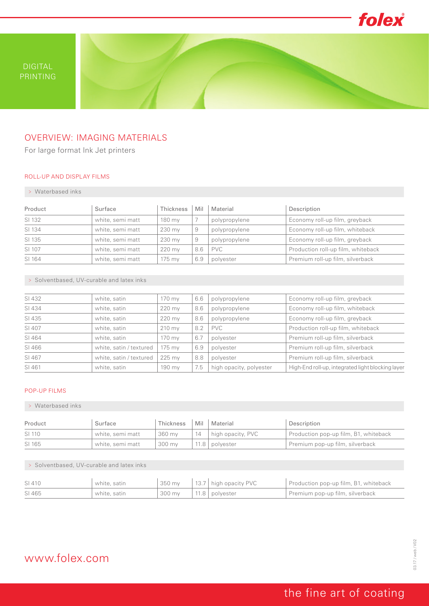

PRINTING

## OVERVIEW: IMAGING MATERIALS

For large format Ink Jet printers

#### ROLL-UP AND DISPLAY FILMS

#### > Waterbased inks

| Product | Surface          | Thickness | Mil | Material      | Description                        |
|---------|------------------|-----------|-----|---------------|------------------------------------|
| SI 132  | white, semi matt | 180 mv    |     | polypropylene | Economy roll-up film, greyback     |
| SI 134  | white, semi matt | 230 mv    | 9   | polypropylene | Economy roll-up film, whiteback    |
| SI 135  | white, semi matt | 230 mv    | 9   | polypropylene | Economy roll-up film, greyback     |
| SI 107  | white, semi matt | 220 my    | 8.6 | <b>PVC</b>    | Production roll-up film, whiteback |
| SI 164  | white, semi matt | $175$ my  | 6.9 | polyester     | Premium roll-up film, silverback   |

> Solventbased, UV-curable and latex inks

| SI 432 |                         |                  |     |                         |                                                   |
|--------|-------------------------|------------------|-----|-------------------------|---------------------------------------------------|
|        | white, satin            | 170 my           | 6.6 | polypropylene           | Economy roll-up film, greyback                    |
| SI 434 | white, satin            | 220 my           | 8.6 | polypropylene           | Economy roll-up film, whiteback                   |
| SI 435 | white, satin            | 220 my           | 8.6 | polypropylene           | Economy roll-up film, greyback                    |
| SI 407 | white, satin            | $210 \text{ mV}$ | 8.2 | <b>PVC</b>              | Production roll-up film, whiteback                |
| SI 464 | white, satin            | 170 my           | 6.7 | polyester               | Premium roll-up film, silverback                  |
| SI 466 | white, satin / textured | 175 mv           | 6.9 | polyester               | Premium roll-up film, silverback                  |
| SI 467 | white, satin / textured | 225 mv           | 8.8 | polyester               | Premium roll-up film, silverback                  |
| SI 461 | white, satin            | 190 mv           | 7.5 | high opacity, polyester | High-End roll-up, integrated light blocking layer |

### POP-UP FILMS

#### > Waterbased inks

| Product | Surface          | Thickness |    | Mil Material      | Description                           |
|---------|------------------|-----------|----|-------------------|---------------------------------------|
| SI 110  | white, semi matt | 360 mv    | 14 | high opacity, PVC | Production pop-up film, B1, whiteback |
| SI 165  | white, semi matt | 300 mv    |    | 11.8   polyester  | Premium pop-up film, silverback       |

#### > Solventbased, UV-curable and latex inks

| SI 410 | white, satin |                                      | $\vert$ 350 my $\vert$ 13.7 $\vert$ high opacity PVC | Production pop-up film, B1, whiteback |
|--------|--------------|--------------------------------------|------------------------------------------------------|---------------------------------------|
| SI 465 | white, satin | $300 \,\mathrm{my}$ $11.8$ polyester |                                                      | Premium pop-up film, silverback       |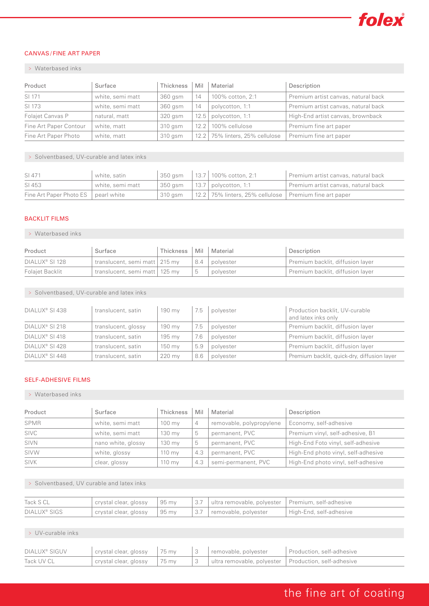

### CANVAS / FINE ART PAPER

#### > Waterbased inks

| Product                | Surface          | Thickness | Mil   | Material                        | Description                         |
|------------------------|------------------|-----------|-------|---------------------------------|-------------------------------------|
| SI 171                 | white, semi matt | 360 gsm   | 14    | 100% cotton, 2:1                | Premium artist canvas, natural back |
| SI 173                 | white, semi matt | 360 gsm   | 14    | polycotton, 1:1                 | Premium artist canvas, natural back |
| Folajet Canvas P       | natural, matt    | 320 gsm   | 12.5' | polycotton, 1:1                 | High-End artist canvas, brownback   |
| Fine Art Paper Contour | white, matt      | 310 gsm   | 12.2  | 100% cellulose                  | Premium fine art paper              |
| Fine Art Paper Photo   | white, matt      | 310 gsm   |       | 12.2 75% linters, 25% cellulose | Premium fine art paper              |

> Solventbased, UV-curable and latex inks

| SI 471                                | white, satin     |         | $350$ gsm $\left  13.7 \right $ 100% cotton, 2:1         | Premium artist canvas, natural back |
|---------------------------------------|------------------|---------|----------------------------------------------------------|-------------------------------------|
| SI 453                                | white, semi matt |         | $350$ gsm   13.7   polycotton, 1:1                       | Premium artist canvas, natural back |
| Fine Art Paper Photo ES   pearl white |                  | 310 gsm | 12.2 75% linters, 25% cellulose   Premium fine art paper |                                     |

#### BACKLIT FILMS

#### > Waterbased inks

| Product                    | Surface                         | Thickness   Mil   Material |     |             | Description                      |
|----------------------------|---------------------------------|----------------------------|-----|-------------|----------------------------------|
| DIALUX <sup>®</sup> SI 128 | translucent, semi matt   215 my |                            | 8.4 | , polyester | Premium backlit, diffusion layer |
| Folaiet Backlit            | translucent, semi matt   125 my |                            |     | polyester   | Premium backlit, diffusion layer |

> Solventbased, UV-curable and latex inks

| DIALUX <sup>®</sup> SI 438 | translucent, satin  | 190 mv | 7.5 | polvester | Production backlit, UV-curable<br>and latex inks only |
|----------------------------|---------------------|--------|-----|-----------|-------------------------------------------------------|
| DIALUX <sup>®</sup> SI 218 | translucent, glossy | 190 mv | 7.5 | polyester | Premium backlit, diffusion layer                      |
| DIALUX <sup>®</sup> SI 418 | translucent, satin  | 195 mv | 7.6 | polvester | Premium backlit, diffusion layer                      |
| DIALUX <sup>®</sup> SI 428 | translucent, satin  | 150 mv | 5.9 | polvester | Premium backlit, diffusion layer                      |
| DIALUX <sup>®</sup> SI 448 | translucent, satin  | 220 mv | 8.6 | polvester | Premium backlit, quick-dry, diffusion layer           |

#### SELF-ADHESIVE FILMS

#### > Waterbased inks

| Product     | Surface            | Thickness        | Mil | Material                 | Description                         |
|-------------|--------------------|------------------|-----|--------------------------|-------------------------------------|
| SPMR        | white, semi matt   | $100 \text{ my}$ | 4   | removable, polypropylene | Economy, self-adhesive              |
| <b>SIVC</b> | white, semi matt   | 130 my           | 5   | permanent, PVC           | Premium vinyl, self-adhesive, B1    |
| <b>SIVN</b> | nano white, glossy | 130 my           | 5   | permanent, PVC           | High-End Foto vinyl, self-adhesive  |
| SIVW        | white, glossy      | $110$ mv         | 4.3 | permanent, PVC           | High-End photo vinyl, self-adhesive |
| <b>SIVK</b> | clear, glossy      | $110 \text{ my}$ | 4.3 | semi-permanent, PVC      | High-End photo vinyl, self-adhesive |

> Solventbased, UV curable and latex inks

| Tack S CL                |                                             |  | crystal clear, glossy   95 my   3.7   ultra removable, polyester   Premium, self-adhesive |                         |
|--------------------------|---------------------------------------------|--|-------------------------------------------------------------------------------------------|-------------------------|
| DIALUX <sup>®</sup> SIGS | $\vert$ crystal clear, glossy $\vert$ 95 my |  | $\vert$ 3.7 $\vert$ removable, polyester                                                  | High-End, self-adhesive |

#### > UV-curable inks

| DIALUX <sup>®</sup> SIGUV | $\vert$ crystal clear, glossy $\vert$ 75 my |  | 3 removable, polyester                                       | Production, self-adhesive |
|---------------------------|---------------------------------------------|--|--------------------------------------------------------------|---------------------------|
| Tack UV CL                | $\vert$ crystal clear, glossy $\vert$ 75 my |  | 3    ultra removable, polyester    Production, self-adhesive |                           |

# the fine art of coating